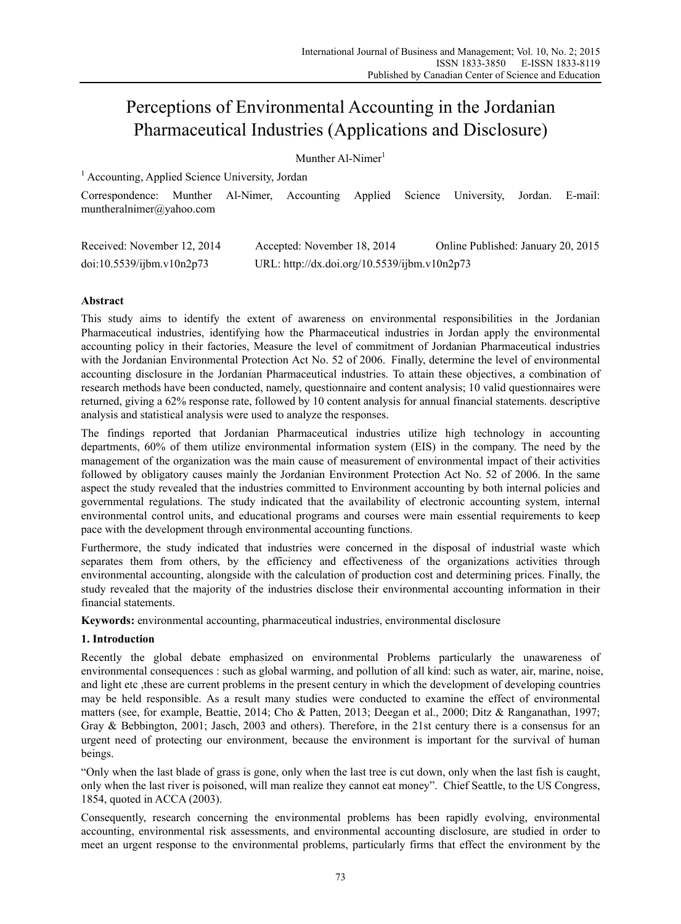# Perceptions of Environmental Accounting in the Jordanian Pharmaceutical Industries (Applications and Disclosure)

# Munther Al-Nimer<sup>1</sup>

<sup>1</sup> Accounting, Applied Science University, Jordan

Correspondence: Munther Al-Nimer, Accounting Applied Science University, Jordan. E-mail: muntheralnimer@yahoo.com

| Received: November 12, 2014 | Accepted: November 18, 2014                  | Online Published: January 20, 2015 |
|-----------------------------|----------------------------------------------|------------------------------------|
| doi:10.5539/ijbm.v10n2p73   | URL: http://dx.doi.org/10.5539/ijbm.v10n2p73 |                                    |

# **Abstract**

This study aims to identify the extent of awareness on environmental responsibilities in the Jordanian Pharmaceutical industries, identifying how the Pharmaceutical industries in Jordan apply the environmental accounting policy in their factories, Measure the level of commitment of Jordanian Pharmaceutical industries with the Jordanian Environmental Protection Act No. 52 of 2006. Finally, determine the level of environmental accounting disclosure in the Jordanian Pharmaceutical industries. To attain these objectives, a combination of research methods have been conducted, namely, questionnaire and content analysis; 10 valid questionnaires were returned, giving a 62% response rate, followed by 10 content analysis for annual financial statements. descriptive analysis and statistical analysis were used to analyze the responses.

The findings reported that Jordanian Pharmaceutical industries utilize high technology in accounting departments, 60% of them utilize environmental information system (EIS) in the company. The need by the management of the organization was the main cause of measurement of environmental impact of their activities followed by obligatory causes mainly the Jordanian Environment Protection Act No. 52 of 2006. In the same aspect the study revealed that the industries committed to Environment accounting by both internal policies and governmental regulations. The study indicated that the availability of electronic accounting system, internal environmental control units, and educational programs and courses were main essential requirements to keep pace with the development through environmental accounting functions.

Furthermore, the study indicated that industries were concerned in the disposal of industrial waste which separates them from others, by the efficiency and effectiveness of the organizations activities through environmental accounting, alongside with the calculation of production cost and determining prices. Finally, the study revealed that the majority of the industries disclose their environmental accounting information in their financial statements.

**Keywords:** environmental accounting, pharmaceutical industries, environmental disclosure

# **1. Introduction**

Recently the global debate emphasized on environmental Problems particularly the unawareness of environmental consequences : such as global warming, and pollution of all kind: such as water, air, marine, noise, and light etc ,these are current problems in the present century in which the development of developing countries may be held responsible. As a result many studies were conducted to examine the effect of environmental matters (see, for example, Beattie, 2014; Cho & Patten, 2013; Deegan et al., 2000; Ditz & Ranganathan, 1997; Gray & Bebbington, 2001; Jasch, 2003 and others). Therefore, in the 21st century there is a consensus for an urgent need of protecting our environment, because the environment is important for the survival of human beings.

"Only when the last blade of grass is gone, only when the last tree is cut down, only when the last fish is caught, only when the last river is poisoned, will man realize they cannot eat money". Chief Seattle, to the US Congress, 1854, quoted in ACCA (2003).

Consequently, research concerning the environmental problems has been rapidly evolving, environmental accounting, environmental risk assessments, and environmental accounting disclosure, are studied in order to meet an urgent response to the environmental problems, particularly firms that effect the environment by the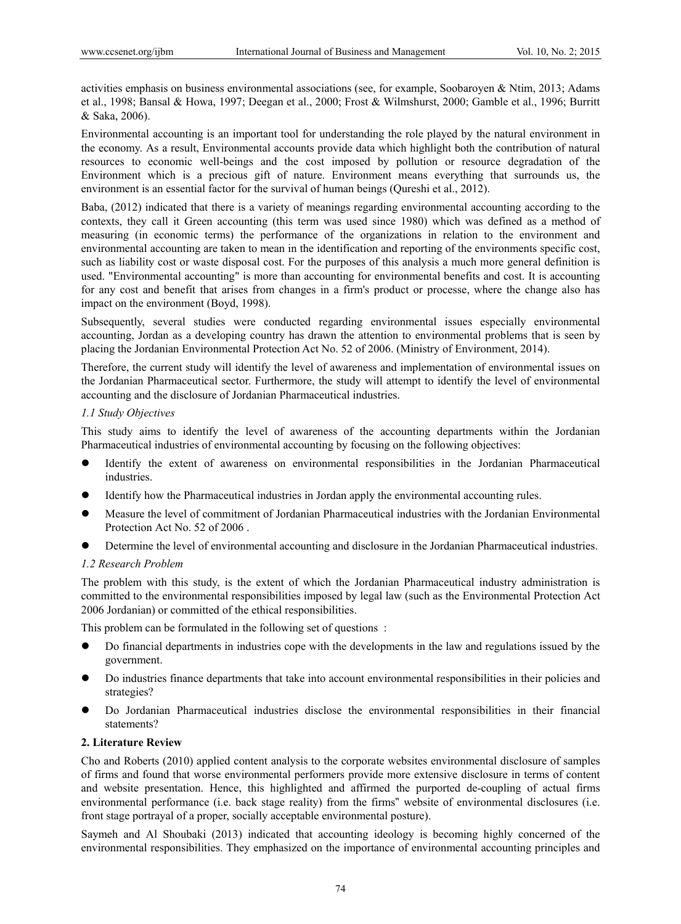activities emphasis on business environmental associations (see, for example, Soobaroyen & Ntim, 2013; Adams et al., 1998; Bansal & Howa, 1997; Deegan et al., 2000; Frost & Wilmshurst, 2000; Gamble et al., 1996; Burritt & Saka, 2006).

Environmental accounting is an important tool for understanding the role played by the natural environment in the economy. As a result, Environmental accounts provide data which highlight both the contribution of natural resources to economic well-beings and the cost imposed by pollution or resource degradation of the Environment which is a precious gift of nature. Environment means everything that surrounds us, the environment is an essential factor for the survival of human beings (Qureshi et al., 2012).

Baba, (2012) indicated that there is a variety of meanings regarding environmental accounting according to the contexts, they call it Green accounting (this term was used since 1980) which was defined as a method of measuring (in economic terms) the performance of the organizations in relation to the environment and environmental accounting are taken to mean in the identification and reporting of the environments specific cost, such as liability cost or waste disposal cost. For the purposes of this analysis a much more general definition is used. "Environmental accounting" is more than accounting for environmental benefits and cost. It is accounting for any cost and benefit that arises from changes in a firm's product or processe, where the change also has impact on the environment (Boyd, 1998).

Subsequently, several studies were conducted regarding environmental issues especially environmental accounting, Jordan as a developing country has drawn the attention to environmental problems that is seen by placing the Jordanian Environmental Protection Act No. 52 of 2006. (Ministry of Environment, 2014).

Therefore, the current study will identify the level of awareness and implementation of environmental issues on the Jordanian Pharmaceutical sector. Furthermore, the study will attempt to identify the level of environmental accounting and the disclosure of Jordanian Pharmaceutical industries.

# *1.1 Study Objectives*

This study aims to identify the level of awareness of the accounting departments within the Jordanian Pharmaceutical industries of environmental accounting by focusing on the following objectives:

- Identify the extent of awareness on environmental responsibilities in the Jordanian Pharmaceutical industries.
- Identify how the Pharmaceutical industries in Jordan apply the environmental accounting rules.
- Measure the level of commitment of Jordanian Pharmaceutical industries with the Jordanian Environmental Protection Act No. 52 of 2006 .
- Determine the level of environmental accounting and disclosure in the Jordanian Pharmaceutical industries.

# *1.2 Research Problem*

The problem with this study, is the extent of which the Jordanian Pharmaceutical industry administration is committed to the environmental responsibilities imposed by legal law (such as the Environmental Protection Act 2006 Jordanian) or committed of the ethical responsibilities.

This problem can be formulated in the following set of questions :

- Do financial departments in industries cope with the developments in the law and regulations issued by the government.
- Do industries finance departments that take into account environmental responsibilities in their policies and strategies?
- Do Jordanian Pharmaceutical industries disclose the environmental responsibilities in their financial statements?

# **2. Literature Review**

Cho and Roberts (2010) applied content analysis to the corporate websites environmental disclosure of samples of firms and found that worse environmental performers provide more extensive disclosure in terms of content and website presentation. Hence, this highlighted and affirmed the purported de-coupling of actual firms environmental performance (i.e. back stage reality) from the firms" website of environmental disclosures (i.e. front stage portrayal of a proper, socially acceptable environmental posture).

Saymeh and Al Shoubaki (2013) indicated that accounting ideology is becoming highly concerned of the environmental responsibilities. They emphasized on the importance of environmental accounting principles and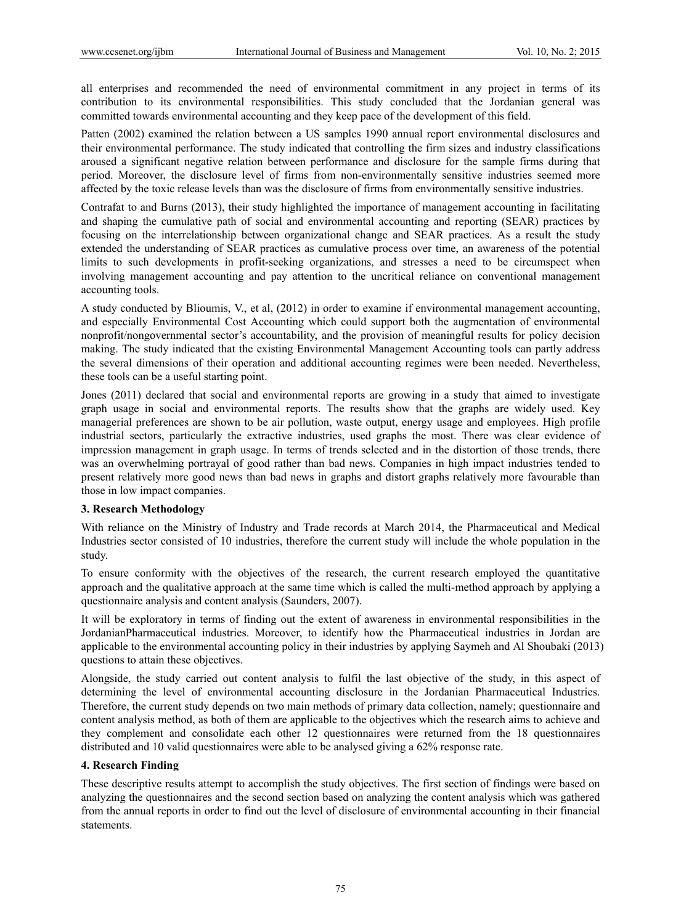all enterprises and recommended the need of environmental commitment in any project in terms of its contribution to its environmental responsibilities. This study concluded that the Jordanian general was committed towards environmental accounting and they keep pace of the development of this field.

Patten (2002) examined the relation between a US samples 1990 annual report environmental disclosures and their environmental performance. The study indicated that controlling the firm sizes and industry classifications aroused a significant negative relation between performance and disclosure for the sample firms during that period. Moreover, the disclosure level of firms from non-environmentally sensitive industries seemed more affected by the toxic release levels than was the disclosure of firms from environmentally sensitive industries.

Contrafat to and Burns (2013), their study highlighted the importance of management accounting in facilitating and shaping the cumulative path of social and environmental accounting and reporting (SEAR) practices by focusing on the interrelationship between organizational change and SEAR practices. As a result the study extended the understanding of SEAR practices as cumulative process over time, an awareness of the potential limits to such developments in profit-seeking organizations, and stresses a need to be circumspect when involving management accounting and pay attention to the uncritical reliance on conventional management accounting tools.

A study conducted by Blioumis, V., et al, (2012) in order to examine if environmental management accounting, and especially Environmental Cost Accounting which could support both the augmentation of environmental nonprofit/nongovernmental sector's accountability, and the provision of meaningful results for policy decision making. The study indicated that the existing Environmental Management Accounting tools can partly address the several dimensions of their operation and additional accounting regimes were been needed. Nevertheless, these tools can be a useful starting point.

Jones (2011) declared that social and environmental reports are growing in a study that aimed to investigate graph usage in social and environmental reports. The results show that the graphs are widely used. Key managerial preferences are shown to be air pollution, waste output, energy usage and employees. High profile industrial sectors, particularly the extractive industries, used graphs the most. There was clear evidence of impression management in graph usage. In terms of trends selected and in the distortion of those trends, there was an overwhelming portrayal of good rather than bad news. Companies in high impact industries tended to present relatively more good news than bad news in graphs and distort graphs relatively more favourable than those in low impact companies.

# **3. Research Methodology**

With reliance on the Ministry of Industry and Trade records at March 2014, the Pharmaceutical and Medical Industries sector consisted of 10 industries, therefore the current study will include the whole population in the study.

To ensure conformity with the objectives of the research, the current research employed the quantitative approach and the qualitative approach at the same time which is called the multi-method approach by applying a questionnaire analysis and content analysis (Saunders, 2007).

It will be exploratory in terms of finding out the extent of awareness in environmental responsibilities in the JordanianPharmaceutical industries. Moreover, to identify how the Pharmaceutical industries in Jordan are applicable to the environmental accounting policy in their industries by applying Saymeh and Al Shoubaki (2013) questions to attain these objectives.

Alongside, the study carried out content analysis to fulfil the last objective of the study, in this aspect of determining the level of environmental accounting disclosure in the Jordanian Pharmaceutical Industries. Therefore, the current study depends on two main methods of primary data collection, namely; questionnaire and content analysis method, as both of them are applicable to the objectives which the research aims to achieve and they complement and consolidate each other 12 questionnaires were returned from the 18 questionnaires distributed and 10 valid questionnaires were able to be analysed giving a 62% response rate.

# **4. Research Finding**

These descriptive results attempt to accomplish the study objectives. The first section of findings were based on analyzing the questionnaires and the second section based on analyzing the content analysis which was gathered from the annual reports in order to find out the level of disclosure of environmental accounting in their financial statements.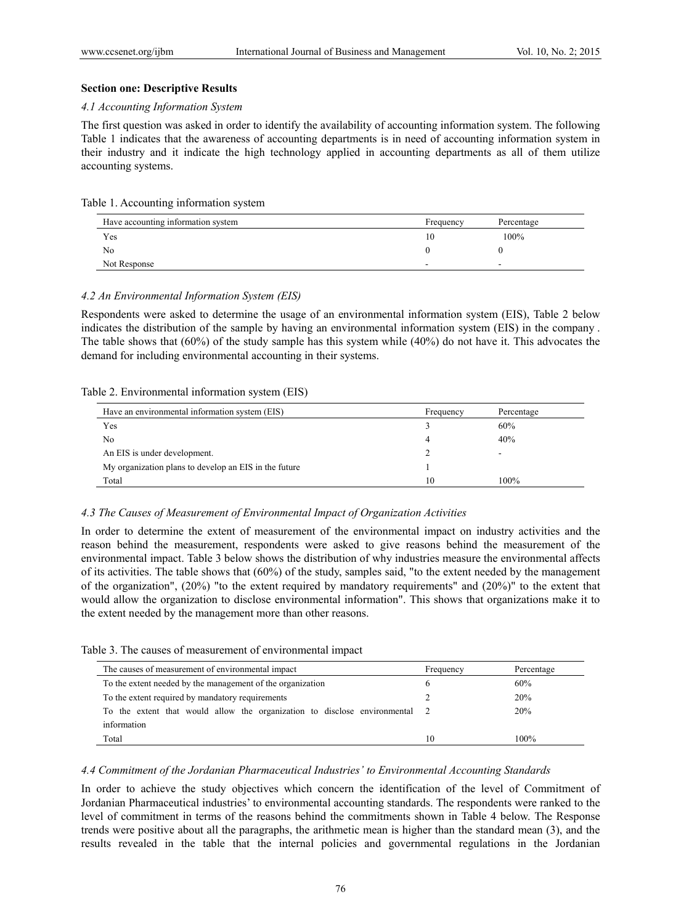## **Section one: Descriptive Results**

## *4.1 Accounting Information System*

The first question was asked in order to identify the availability of accounting information system. The following Table 1 indicates that the awareness of accounting departments is in need of accounting information system in their industry and it indicate the high technology applied in accounting departments as all of them utilize accounting systems.

#### Table 1. Accounting information system

| Have accounting information system | Frequency | Percentage |
|------------------------------------|-----------|------------|
| Yes                                | I ()      | 100%       |
| No                                 |           |            |
| Not Response                       | -         | ۰          |

## *4.2 An Environmental Information System (EIS)*

Respondents were asked to determine the usage of an environmental information system (EIS), Table 2 below indicates the distribution of the sample by having an environmental information system (EIS) in the company . The table shows that (60%) of the study sample has this system while (40%) do not have it. This advocates the demand for including environmental accounting in their systems.

#### Table 2. Environmental information system (EIS)

| Have an environmental information system (EIS)        | Frequency | Percentage |
|-------------------------------------------------------|-----------|------------|
| Yes                                                   |           | 60%        |
| No                                                    |           | 40%        |
| An EIS is under development.                          |           |            |
| My organization plans to develop an EIS in the future |           |            |
| Total                                                 | 10        | 100%       |

#### *4.3 The Causes of Measurement of Environmental Impact of Organization Activities*

In order to determine the extent of measurement of the environmental impact on industry activities and the reason behind the measurement, respondents were asked to give reasons behind the measurement of the environmental impact. Table 3 below shows the distribution of why industries measure the environmental affects of its activities. The table shows that (60%) of the study, samples said, "to the extent needed by the management of the organization", (20%) "to the extent required by mandatory requirements" and (20%)" to the extent that would allow the organization to disclose environmental information". This shows that organizations make it to the extent needed by the management more than other reasons.

Table 3. The causes of measurement of environmental impact

| The causes of measurement of environmental impact                         | Frequency | Percentage |
|---------------------------------------------------------------------------|-----------|------------|
| To the extent needed by the management of the organization                |           | 60%        |
| To the extent required by mandatory requirements                          |           | 20%        |
| To the extent that would allow the organization to disclose environmental |           | 20%        |
| information                                                               |           |            |
| Total                                                                     | 10        | 100%       |

## *4.4 Commitment of the Jordanian Pharmaceutical Industries' to Environmental Accounting Standards*

In order to achieve the study objectives which concern the identification of the level of Commitment of Jordanian Pharmaceutical industries' to environmental accounting standards. The respondents were ranked to the level of commitment in terms of the reasons behind the commitments shown in Table 4 below. The Response trends were positive about all the paragraphs, the arithmetic mean is higher than the standard mean (3), and the results revealed in the table that the internal policies and governmental regulations in the Jordanian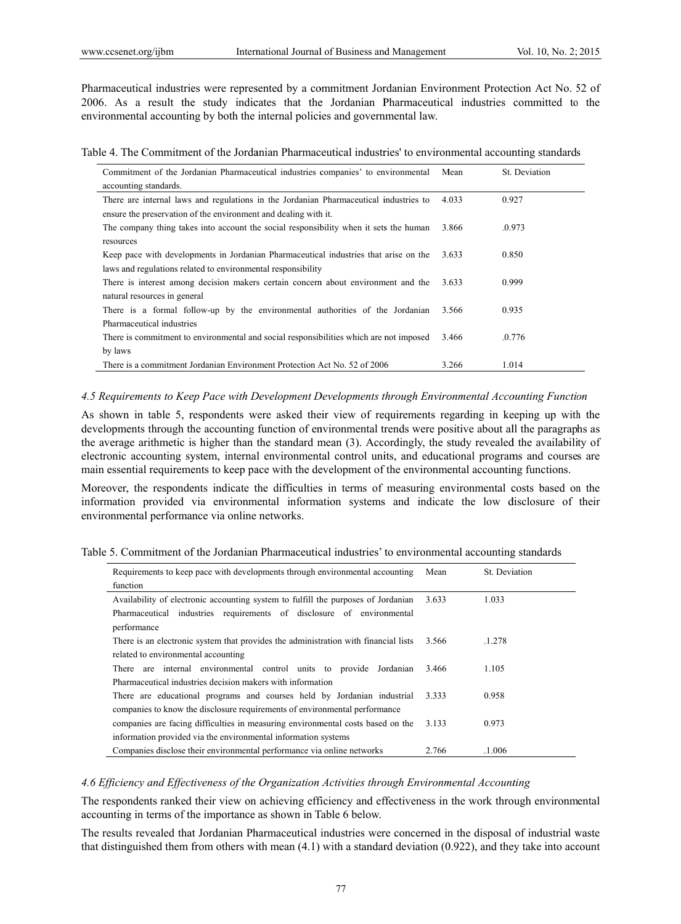Pharmaceutical industries were represented by a commitment Jordanian Environment Protection Act No. 52 of 2006. As a result the study indicates that the Jordanian Pharmaceutical industries committed to the environmental accounting by both the internal policies and governmental law.

Table 4. The Commitment of the Jordanian Pharmaceutical industries' to environmental accounting standards

| Commitment of the Jordanian Pharmaceutical industries companies' to environmental      | Mean  | St. Deviation |
|----------------------------------------------------------------------------------------|-------|---------------|
| accounting standards.                                                                  |       |               |
| There are internal laws and regulations in the Jordanian Pharmaceutical industries to  | 4.033 | 0.927         |
| ensure the preservation of the environment and dealing with it.                        |       |               |
| The company thing takes into account the social responsibility when it sets the human  | 3.866 | $-0.973$      |
| resources                                                                              |       |               |
| Keep pace with developments in Jordanian Pharmaceutical industries that arise on the   | 3.633 | 0.850         |
| laws and regulations related to environmental responsibility                           |       |               |
| There is interest among decision makers certain concern about environment and the      | 3.633 | 0.999         |
| natural resources in general                                                           |       |               |
| There is a formal follow-up by the environmental authorities of the Jordanian          | 3.566 | 0.935         |
| Pharmaceutical industries                                                              |       |               |
| There is commitment to environmental and social responsibilities which are not imposed | 3.466 | $-0.776$      |
| by laws                                                                                |       |               |
| There is a commitment Jordanian Environment Protection Act No. 52 of 2006              | 3.266 | 1.014         |

### 4.5 Requirements to Keep Pace with Development Developments through Environmental Accounting Function

As shown in table 5, respondents were asked their view of requirements regarding in keeping up with the developments through the accounting function of environmental trends were positive about all the paragraphs as the average arithmetic is higher than the standard mean (3). Accordingly, the study revealed the availability of electronic accounting system, internal environmental control units, and educational programs and courses are main essential requirements to keep pace with the development of the environmental accounting functions.

Moreover, the respondents indicate the difficulties in terms of measuring environmental costs based on the information provided via environmental information systems and indicate the low disclosure of their environmental performance via online networks.

|  |  |  |  |  |  |  |  |  |  |  |  |  | Table 5. Commitment of the Jordanian Pharmaceutical industries' to environmental accounting standards |  |  |  |  |
|--|--|--|--|--|--|--|--|--|--|--|--|--|-------------------------------------------------------------------------------------------------------|--|--|--|--|
|--|--|--|--|--|--|--|--|--|--|--|--|--|-------------------------------------------------------------------------------------------------------|--|--|--|--|

| Requirements to keep pace with developments through environmental accounting        | Mean  | St. Deviation |
|-------------------------------------------------------------------------------------|-------|---------------|
| function                                                                            |       |               |
| Availability of electronic accounting system to fulfill the purposes of Jordanian   | 3.633 | 1.033         |
| Pharmaceutical industries requirements of disclosure of environmental               |       |               |
| performance                                                                         |       |               |
| There is an electronic system that provides the administration with financial lists | 3.566 | $-1.278$      |
| related to environmental accounting                                                 |       |               |
| There are internal environmental control units to provide Jordanian                 | 3.466 | 1.105         |
| Pharmaceutical industries decision makers with information                          |       |               |
| There are educational programs and courses held by Jordanian industrial             | 3.333 | 0.958         |
| companies to know the disclosure requirements of environmental performance          |       |               |
| companies are facing difficulties in measuring environmental costs based on the     | 3.133 | 0.973         |
| information provided via the environmental information systems                      |       |               |
| Companies disclose their environmental performance via online networks              | 2.766 | $-1.006$      |

#### 4.6 Efficiency and Effectiveness of the Organization Activities through Environmental Accounting

The respondents ranked their view on achieving efficiency and effectiveness in the work through environmental accounting in terms of the importance as shown in Table 6 below.

The results revealed that Jordanian Pharmaceutical industries were concerned in the disposal of industrial waste that distinguished them from others with mean  $(4.1)$  with a standard deviation  $(0.922)$ , and they take into account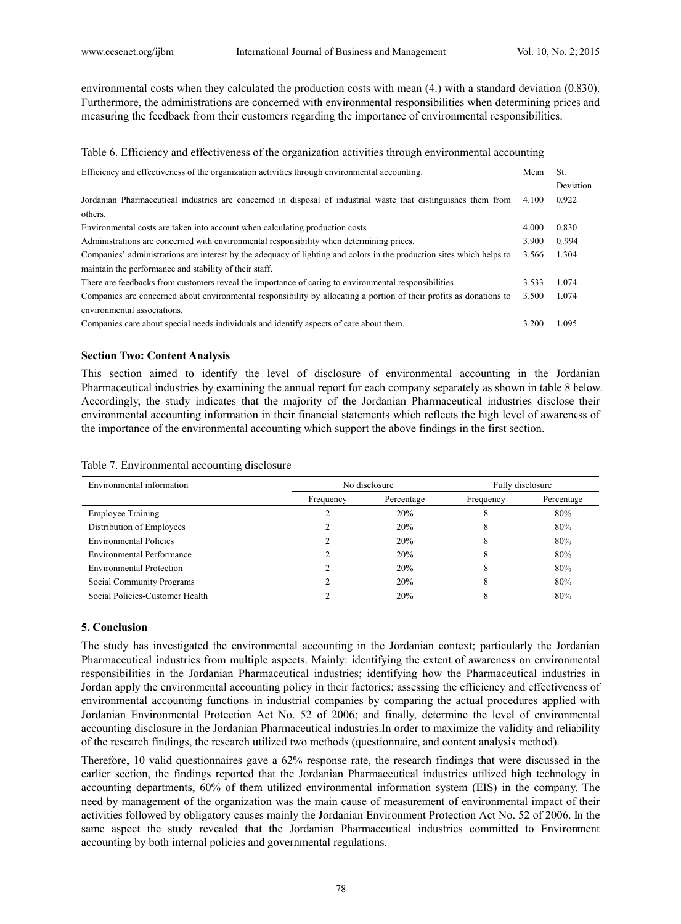environmental costs when they calculated the production costs with mean  $(4)$ , with a standard deviation  $(0.830)$ . Furthermore, the administrations are concerned with environmental responsibilities when determining prices and measuring the feedback from their customers regarding the importance of environmental responsibilities.

Table 6. Efficiency and effectiveness of the organization activities through environmental accounting

| Efficiency and effectiveness of the organization activities through environmental accounting.                         | Mean  | St.       |
|-----------------------------------------------------------------------------------------------------------------------|-------|-----------|
|                                                                                                                       |       | Deviation |
| Jordanian Pharmaceutical industries are concerned in disposal of industrial waste that distinguishes them from        | 4.100 | 0.922     |
| others.                                                                                                               |       |           |
| Environmental costs are taken into account when calculating production costs                                          | 4.000 | 0.830     |
| Administrations are concerned with environmental responsibility when determining prices.                              | 3.900 | 0.994     |
| Companies' administrations are interest by the adequacy of lighting and colors in the production sites which helps to | 3.566 | 1.304     |
| maintain the performance and stability of their staff.                                                                |       |           |
| There are feedbacks from customers reveal the importance of caring to environmental responsibilities                  | 3.533 | 1.074     |
| Companies are concerned about environmental responsibility by allocating a portion of their profits as donations to   | 3.500 | 1.074     |
| environmental associations.                                                                                           |       |           |
| Companies care about special needs individuals and identify aspects of care about them.                               | 3.200 | 1.095     |

#### **Section Two: Content Analysis**

This section aimed to identify the level of disclosure of environmental accounting in the Jordanian Pharmaceutical industries by examining the annual report for each company separately as shown in table 8 below. Accordingly, the study indicates that the majority of the Jordanian Pharmaceutical industries disclose their environmental accounting information in their financial statements which reflects the high level of awareness of the importance of the environmental accounting which support the above findings in the first section.

| Environmental information       |           | No disclosure | Fully disclosure |            |  |
|---------------------------------|-----------|---------------|------------------|------------|--|
|                                 | Frequency | Percentage    | Frequency        | Percentage |  |
| <b>Employee Training</b>        |           | 20%           | δ                | 80%        |  |
| Distribution of Employees       |           | 20%           | ŏ                | 80%        |  |
| <b>Environmental Policies</b>   |           | 20%           | δ                | 80%        |  |
| Environmental Performance       |           | 20%           | 8                | 80%        |  |
| <b>Environmental Protection</b> |           | 20%           | 8                | 80%        |  |
| Social Community Programs       |           | 20%           |                  | 80%        |  |
| Social Policies-Customer Health |           | 20%           |                  | 80%        |  |

Table 7. Environmental accounting disclosure

#### 5. Conclusion

The study has investigated the environmental accounting in the Jordanian context; particularly the Jordanian Pharmaceutical industries from multiple aspects. Mainly: identifying the extent of awareness on environmental responsibilities in the Jordanian Pharmaceutical industries; identifying how the Pharmaceutical industries in Jordan apply the environmental accounting policy in their factories; assessing the efficiency and effectiveness of environmental accounting functions in industrial companies by comparing the actual procedures applied with Jordanian Environmental Protection Act No. 52 of 2006; and finally, determine the level of environmental accounting disclosure in the Jordanian Pharmaceutical industries. In order to maximize the validity and reliability of the research findings, the research utilized two methods (questionnaire, and content analysis method).

Therefore, 10 valid questionnaires gave a 62% response rate, the research findings that were discussed in the earlier section, the findings reported that the Jordanian Pharmaceutical industries utilized high technology in accounting departments, 60% of them utilized environmental information system (EIS) in the company. The need by management of the organization was the main cause of measurement of environmental impact of their activities followed by obligatory causes mainly the Jordanian Environment Protection Act No. 52 of 2006. In the same aspect the study revealed that the Jordanian Pharmaceutical industries committed to Environment accounting by both internal policies and governmental regulations.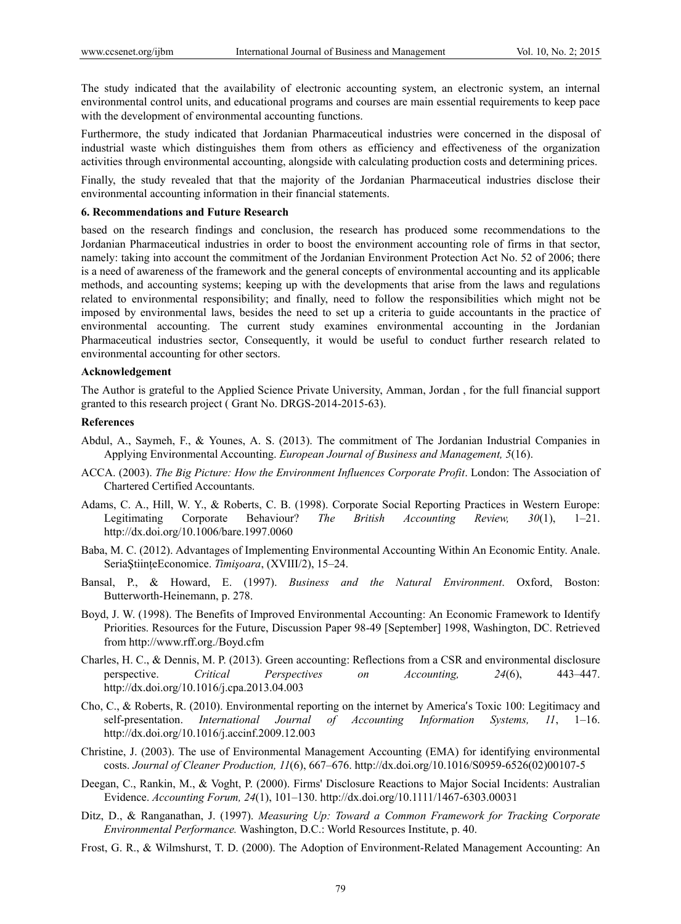The study indicated that the availability of electronic accounting system, an electronic system, an internal environmental control units, and educational programs and courses are main essential requirements to keep pace with the development of environmental accounting functions.

Furthermore, the study indicated that Jordanian Pharmaceutical industries were concerned in the disposal of industrial waste which distinguishes them from others as efficiency and effectiveness of the organization activities through environmental accounting, alongside with calculating production costs and determining prices.

Finally, the study revealed that that the majority of the Jordanian Pharmaceutical industries disclose their environmental accounting information in their financial statements.

#### **6. Recommendations and Future Research**

based on the research findings and conclusion, the research has produced some recommendations to the Jordanian Pharmaceutical industries in order to boost the environment accounting role of firms in that sector, namely: taking into account the commitment of the Jordanian Environment Protection Act No. 52 of 2006; there is a need of awareness of the framework and the general concepts of environmental accounting and its applicable methods, and accounting systems; keeping up with the developments that arise from the laws and regulations related to environmental responsibility; and finally, need to follow the responsibilities which might not be imposed by environmental laws, besides the need to set up a criteria to guide accountants in the practice of environmental accounting. The current study examines environmental accounting in the Jordanian Pharmaceutical industries sector, Consequently, it would be useful to conduct further research related to environmental accounting for other sectors.

#### **Acknowledgement**

The Author is grateful to the Applied Science Private University, Amman, Jordan , for the full financial support granted to this research project ( Grant No. DRGS-2014-2015-63).

# **References**

- Abdul, A., Saymeh, F., & Younes, A. S. (2013). The commitment of The Jordanian Industrial Companies in Applying Environmental Accounting. *European Journal of Business and Management, 5*(16).
- ACCA. (2003). *The Big Picture: How the Environment Influences Corporate Profit*. London: The Association of Chartered Certified Accountants.
- Adams, C. A., Hill, W. Y., & Roberts, C. B. (1998). Corporate Social Reporting Practices in Western Europe: Legitimating Corporate Behaviour? *The British Accounting Review, 30*(1), 1–21. http://dx.doi.org/10.1006/bare.1997.0060
- Baba, M. C. (2012). Advantages of Implementing Environmental Accounting Within An Economic Entity. Anale. SeriaŞtiinţeEconomice. *Timişoara*, (XVIII/2), 15–24.
- Bansal, P., & Howard, E. (1997). *Business and the Natural Environment*. Oxford, Boston: Butterworth-Heinemann, p. 278.
- Boyd, J. W. (1998). The Benefits of Improved Environmental Accounting: An Economic Framework to Identify Priorities. Resources for the Future, Discussion Paper 98-49 [September] 1998, Washington, DC. Retrieved from http://www.rff.org./Boyd.cfm
- Charles, H. C., & Dennis, M. P. (2013). Green accounting: Reflections from a CSR and environmental disclosure perspective. *Critical Perspectives on Accounting, 24*(6), 443–447. http://dx.doi.org/10.1016/j.cpa.2013.04.003
- Cho, C., & Roberts, R. (2010). Environmental reporting on the internet by America's Toxic 100: Legitimacy and self-presentation. *International Journal of Accounting Information Systems, 11*, 1–16. http://dx.doi.org/10.1016/j.accinf.2009.12.003
- Christine, J. (2003). The use of Environmental Management Accounting (EMA) for identifying environmental costs. *Journal of Cleaner Production, 11*(6), 667–676. http://dx.doi.org/10.1016/S0959-6526(02)00107-5
- Deegan, C., Rankin, M., & Voght, P. (2000). Firms' Disclosure Reactions to Major Social Incidents: Australian Evidence. *Accounting Forum, 24*(1), 101–130. http://dx.doi.org/10.1111/1467-6303.00031
- Ditz, D., & Ranganathan, J. (1997). *Measuring Up: Toward a Common Framework for Tracking Corporate Environmental Performance.* Washington, D.C.: World Resources Institute, p. 40.
- Frost, G. R., & Wilmshurst, T. D. (2000). The Adoption of Environment-Related Management Accounting: An